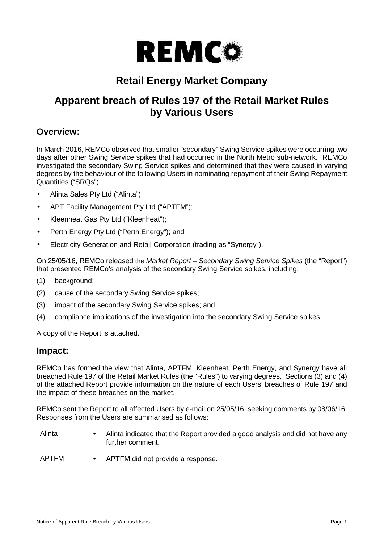

# **Retail Energy Market Company**

# **Apparent breach of Rules 197 of the Retail Market Rules by Various Users**

## **Overview:**

In March 2016, REMCo observed that smaller "secondary" Swing Service spikes were occurring two days after other Swing Service spikes that had occurred in the North Metro sub-network. REMCo investigated the secondary Swing Service spikes and determined that they were caused in varying degrees by the behaviour of the following Users in nominating repayment of their Swing Repayment Quantities ("SRQs"):

- Alinta Sales Pty Ltd ("Alinta");
- APT Facility Management Pty Ltd ("APTFM"):
- Kleenheat Gas Pty Ltd ("Kleenheat");
- Perth Energy Pty Ltd ("Perth Energy"); and
- Electricity Generation and Retail Corporation (trading as "Synergy").

On 25/05/16, REMCo released the *Market Report – Secondary Swing Service Spikes* (the "Report") that presented REMCo's analysis of the secondary Swing Service spikes, including:

- (1) background;
- (2) cause of the secondary Swing Service spikes;
- (3) impact of the secondary Swing Service spikes; and
- (4) compliance implications of the investigation into the secondary Swing Service spikes.

A copy of the Report is attached.

### **Impact:**

REMCo has formed the view that Alinta, APTFM, Kleenheat, Perth Energy, and Synergy have all breached Rule 197 of the Retail Market Rules (the "Rules") to varying degrees. Sections (3) and (4) of the attached Report provide information on the nature of each Users' breaches of Rule 197 and the impact of these breaches on the market.

REMCo sent the Report to all affected Users by e-mail on 25/05/16, seeking comments by 08/06/16. Responses from the Users are summarised as follows:

- Alinta Alinta indicated that the Report provided a good analysis and did not have any further comment.
- APTFM APTFM did not provide a response.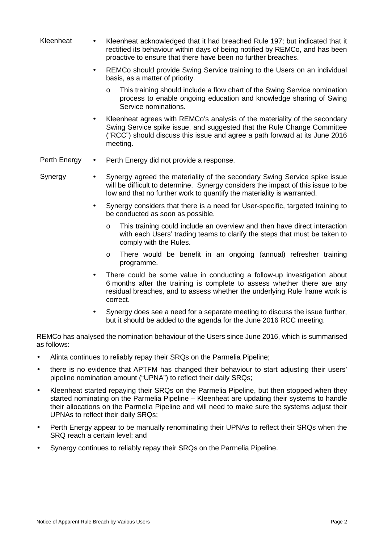| Kleenheat    | $\bullet$ | Kleenheat acknowledged that it had breached Rule 197; but indicated that it<br>rectified its behaviour within days of being notified by REMCo, and has been<br>proactive to ensure that there have been no further breaches.                     |
|--------------|-----------|--------------------------------------------------------------------------------------------------------------------------------------------------------------------------------------------------------------------------------------------------|
|              | $\bullet$ | REMCo should provide Swing Service training to the Users on an individual<br>basis, as a matter of priority.                                                                                                                                     |
|              |           | This training should include a flow chart of the Swing Service nomination<br>$\circ$<br>process to enable ongoing education and knowledge sharing of Swing<br>Service nominations.                                                               |
|              | $\bullet$ | Kleenheat agrees with REMCo's analysis of the materiality of the secondary<br>Swing Service spike issue, and suggested that the Rule Change Committee<br>("RCC") should discuss this issue and agree a path forward at its June 2016<br>meeting. |
| Perth Energy | $\bullet$ | Perth Energy did not provide a response.                                                                                                                                                                                                         |
| Synergy      |           | Synergy agreed the materiality of the secondary Swing Service spike issue                                                                                                                                                                        |

- will be difficult to determine. Synergy considers the impact of this issue to be low and that no further work to quantify the materiality is warranted.
	- Synergy considers that there is a need for User-specific, targeted training to be conducted as soon as possible.
		- o This training could include an overview and then have direct interaction with each Users' trading teams to clarify the steps that must be taken to comply with the Rules.
		- o There would be benefit in an ongoing (annual) refresher training programme.
	- There could be some value in conducting a follow-up investigation about 6 months after the training is complete to assess whether there are any residual breaches, and to assess whether the underlying Rule frame work is correct.
	- Synergy does see a need for a separate meeting to discuss the issue further, but it should be added to the agenda for the June 2016 RCC meeting.

REMCo has analysed the nomination behaviour of the Users since June 2016, which is summarised as follows:

- Alinta continues to reliably repay their SRQs on the Parmelia Pipeline;
- there is no evidence that APTFM has changed their behaviour to start adjusting their users' pipeline nomination amount ("UPNA") to reflect their daily SRQs;
- Kleenheat started repaying their SRQs on the Parmelia Pipeline, but then stopped when they started nominating on the Parmelia Pipeline – Kleenheat are updating their systems to handle their allocations on the Parmelia Pipeline and will need to make sure the systems adjust their UPNAs to reflect their daily SRQs;
- Perth Energy appear to be manually renominating their UPNAs to reflect their SRQs when the SRQ reach a certain level; and
- Synergy continues to reliably repay their SRQs on the Parmelia Pipeline.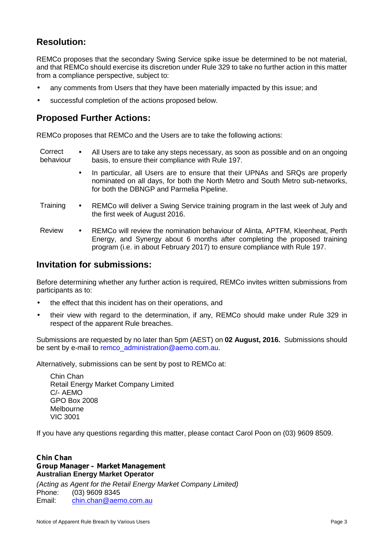## **Resolution:**

REMCo proposes that the secondary Swing Service spike issue be determined to be not material, and that REMCo should exercise its discretion under Rule 329 to take no further action in this matter from a compliance perspective, subject to:

- any comments from Users that they have been materially impacted by this issue; and
- successful completion of the actions proposed below.

## **Proposed Further Actions:**

REMCo proposes that REMCo and the Users are to take the following actions:

**Correct** Correct • All Users are to take any steps necessary, as soon as possible and on an ongoing<br>behaviour basis to ensure their compliance with Rule 197 basis, to ensure their compliance with Rule 197.

- In particular, all Users are to ensure that their UPNAs and SRQs are properly nominated on all days, for both the North Metro and South Metro sub-networks, for both the DBNGP and Parmelia Pipeline.
- Training REMCo will deliver a Swing Service training program in the last week of July and the first week of August 2016.
- Review REMCo will review the nomination behaviour of Alinta, APTFM, Kleenheat, Perth Energy, and Synergy about 6 months after completing the proposed training program (i.e. in about February 2017) to ensure compliance with Rule 197.

## **Invitation for submissions:**

Before determining whether any further action is required, REMCo invites written submissions from participants as to:

- the effect that this incident has on their operations, and
- their view with regard to the determination, if any, REMCo should make under Rule 329 in respect of the apparent Rule breaches.

Submissions are requested by no later than 5pm (AEST) on **02 August, 2016.** Submissions should be sent by e-mail to remco\_administration@aemo.com.au.

Alternatively, submissions can be sent by post to REMCo at:

Chin Chan Retail Energy Market Company Limited C/- AEMO GPO Box 2008 Melbourne VIC 3001

If you have any questions regarding this matter, please contact Carol Poon on (03) 9609 8509.

#### *Chin Chan Group Manager – Market Management* **Australian Energy Market Operator**

*(Acting as Agent for the Retail Energy Market Company Limited)* Phone:  $(03)$  9609 8345<br>Email: chin.chan@aen Email: chin.chan@aemo.com.au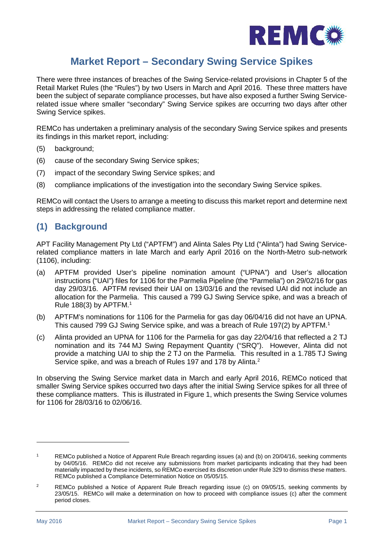

# **Market Report – Secondary Swing Service Spikes**

There were three instances of breaches of the Swing Service-related provisions in Chapter 5 of the Retail Market Rules (the "Rules") by two Users in March and April 2016. These three matters have been the subject of separate compliance processes, but have also exposed a further Swing Servicerelated issue where smaller "secondary" Swing Service spikes are occurring two days after other Swing Service spikes.

REMCo has undertaken a preliminary analysis of the secondary Swing Service spikes and presents its findings in this market report, including:

- (5) background;
- (6) cause of the secondary Swing Service spikes;
- (7) impact of the secondary Swing Service spikes; and
- (8) compliance implications of the investigation into the secondary Swing Service spikes.

REMCo will contact the Users to arrange a meeting to discuss this market report and determine next steps in addressing the related compliance matter.

## **(1) Background**

APT Facility Management Pty Ltd ("APTFM") and Alinta Sales Pty Ltd ("Alinta") had Swing Servicerelated compliance matters in late March and early April 2016 on the North-Metro sub-network (1106), including:

- (a) APTFM provided User's pipeline nomination amount ("UPNA") and User's allocation instructions ("UAI") files for 1106 for the Parmelia Pipeline (the "Parmelia") on 29/02/16 for gas day 29/03/16. APTFM revised their UAI on 13/03/16 and the revised UAI did not include an allocation for the Parmelia. This caused a 799 GJ Swing Service spike, and was a breach of Rule 188(3) by APTFM.<sup>1</sup>
- (b) APTFM's nominations for 1106 for the Parmelia for gas day 06/04/16 did not have an UPNA. This caused 799 GJ Swing Service spike, and was a breach of Rule 197(2) by APTFM.<sup>1</sup>
- (c) Alinta provided an UPNA for 1106 for the Parmelia for gas day 22/04/16 that reflected a 2 TJ nomination and its 744 MJ Swing Repayment Quantity ("SRQ"). However, Alinta did not provide a matching UAI to ship the 2 TJ on the Parmelia. This resulted in a 1.785 TJ Swing Service spike, and was a breach of Rules 197 and 178 by Alinta.<sup>2</sup>

In observing the Swing Service market data in March and early April 2016, REMCo noticed that smaller Swing Service spikes occurred two days after the initial Swing Service spikes for all three of these compliance matters. This is illustrated in Figure 1, which presents the Swing Service volumes for 1106 for 28/03/16 to 02/06/16.

<sup>1</sup> REMCo published a Notice of Apparent Rule Breach regarding issues (a) and (b) on 20/04/16, seeking comments by 04/05/16. REMCo did not receive any submissions from market participants indicating that they had been materially impacted by these incidents, so REMCo exercised its discretion under Rule 329 to dismiss these matters. REMCo published a Compliance Determination Notice on 05/05/15.

<sup>&</sup>lt;sup>2</sup> REMCo published a Notice of Apparent Rule Breach regarding issue (c) on 09/05/15, seeking comments by 23/05/15. REMCo will make a determination on how to proceed with compliance issues (c) after the comment period closes.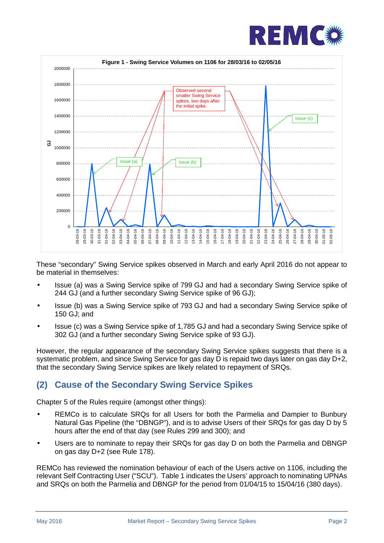



These "secondary" Swing Service spikes observed in March and early April 2016 do not appear to be material in themselves:

- Issue (a) was a Swing Service spike of 799 GJ and had a secondary Swing Service spike of 244 GJ (and a further secondary Swing Service spike of 96 GJ);
- Issue (b) was a Swing Service spike of 793 GJ and had a secondary Swing Service spike of 150 GJ; and
- Issue (c) was a Swing Service spike of 1,785 GJ and had a secondary Swing Service spike of 302 GJ (and a further secondary Swing Service spike of 93 GJ).

However, the regular appearance of the secondary Swing Service spikes suggests that there is a systematic problem, and since Swing Service for gas day D is repaid two days later on gas day D+2, that the secondary Swing Service spikes are likely related to repayment of SRQs.

## **(2) Cause of the Secondary Swing Service Spikes**

Chapter 5 of the Rules require (amongst other things):

- REMCo is to calculate SRQs for all Users for both the Parmelia and Dampier to Bunbury Natural Gas Pipeline (the "DBNGP"), and is to advise Users of their SRQs for gas day D by 5 hours after the end of that day (see Rules 299 and 300); and
- Users are to nominate to repay their SRQs for gas day D on both the Parmelia and DBNGP on gas day D+2 (see Rule 178).

REMCo has reviewed the nomination behaviour of each of the Users active on 1106, including the relevant Self Contracting User ("SCU"). Table 1 indicates the Users' approach to nominating UPNAs and SRQs on both the Parmelia and DBNGP for the period from 01/04/15 to 15/04/16 (380 days).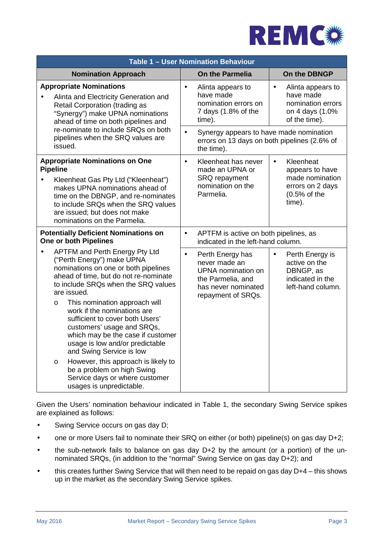

| <b>Table 1 - User Nomination Behaviour</b>                                                                                                                                                                                                                                                     |                                                                                                                                                                                                                                                                                                                                                                                                                                                            |           |                                                                                                                                    |                                                                                                              |  |  |
|------------------------------------------------------------------------------------------------------------------------------------------------------------------------------------------------------------------------------------------------------------------------------------------------|------------------------------------------------------------------------------------------------------------------------------------------------------------------------------------------------------------------------------------------------------------------------------------------------------------------------------------------------------------------------------------------------------------------------------------------------------------|-----------|------------------------------------------------------------------------------------------------------------------------------------|--------------------------------------------------------------------------------------------------------------|--|--|
|                                                                                                                                                                                                                                                                                                | <b>Nomination Approach</b>                                                                                                                                                                                                                                                                                                                                                                                                                                 |           | <b>On the Parmelia</b>                                                                                                             | On the DBNGP                                                                                                 |  |  |
|                                                                                                                                                                                                                                                                                                | <b>Appropriate Nominations</b><br>Alinta and Electricity Generation and<br>Retail Corporation (trading as<br>"Synergy") make UPNA nominations<br>ahead of time on both pipelines and<br>re-nominate to include SRQs on both<br>pipelines when the SRQ values are<br>issued.                                                                                                                                                                                |           | Alinta appears to<br>have made<br>nomination errors on<br>7 days (1.8% of the<br>time).<br>Synergy appears to have made nomination | Alinta appears to<br>$\bullet$<br>have made<br>nomination errors<br>on 4 days (1.0%<br>of the time).         |  |  |
|                                                                                                                                                                                                                                                                                                |                                                                                                                                                                                                                                                                                                                                                                                                                                                            |           | errors on 13 days on both pipelines (2.6% of<br>the time).                                                                         |                                                                                                              |  |  |
| <b>Appropriate Nominations on One</b><br><b>Pipeline</b><br>Kleenheat Gas Pty Ltd ("Kleenheat")<br>$\bullet$<br>makes UPNA nominations ahead of<br>time on the DBNGP, and re-nominates<br>to include SRQs when the SRQ values<br>are issued; but does not make<br>nominations on the Parmelia. |                                                                                                                                                                                                                                                                                                                                                                                                                                                            |           | Kleenheat has never<br>made an UPNA or<br>SRQ repayment<br>nomination on the<br>Parmelia.                                          | Kleenheat<br>$\bullet$<br>appears to have<br>made nomination<br>errors on 2 days<br>$(0.5%$ of the<br>time). |  |  |
| <b>Potentially Deficient Nominations on</b><br>One or both Pipelines                                                                                                                                                                                                                           |                                                                                                                                                                                                                                                                                                                                                                                                                                                            |           | APTFM is active on both pipelines, as<br>indicated in the left-hand column.                                                        |                                                                                                              |  |  |
| $\bullet$                                                                                                                                                                                                                                                                                      | <b>APTFM and Perth Energy Pty Ltd</b><br>("Perth Energy") make UPNA<br>nominations on one or both pipelines<br>ahead of time, but do not re-nominate<br>to include SRQs when the SRQ values<br>are issued.<br>This nomination approach will<br>$\circ$<br>work if the nominations are<br>sufficient to cover both Users'<br>customers' usage and SRQs,<br>which may be the case if customer<br>usage is low and/or predictable<br>and Swing Service is low | $\bullet$ | Perth Energy has<br>never made an<br><b>UPNA</b> nomination on<br>the Parmelia, and<br>has never nominated<br>repayment of SRQs.   | Perth Energy is<br>$\bullet$<br>active on the<br>DBNGP, as<br>indicated in the<br>left-hand column.          |  |  |
|                                                                                                                                                                                                                                                                                                | However, this approach is likely to<br>$\circ$<br>be a problem on high Swing<br>Service days or where customer<br>usages is unpredictable.                                                                                                                                                                                                                                                                                                                 |           |                                                                                                                                    |                                                                                                              |  |  |

Given the Users' nomination behaviour indicated in Table 1, the secondary Swing Service spikes are explained as follows:

- Swing Service occurs on gas day D;
- one or more Users fail to nominate their SRQ on either (or both) pipeline(s) on gas day D+2;
- the sub-network fails to balance on gas day D+2 by the amount (or a portion) of the un nominated SRQs, (in addition to the "normal" Swing Service on gas day D+2); and
- this creates further Swing Service that will then need to be repaid on gas day D+4 this shows up in the market as the secondary Swing Service spikes.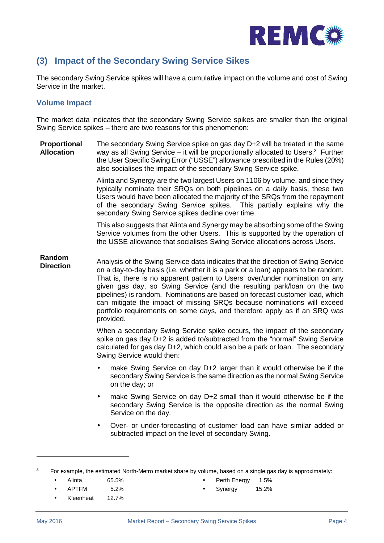

## **(3) Impact of the Secondary Swing Service Sikes**

The secondary Swing Service spikes will have a cumulative impact on the volume and cost of Swing Service in the market.

#### **Volume Impact**

The market data indicates that the secondary Swing Service spikes are smaller than the original Swing Service spikes – there are two reasons for this phenomenon:

**Proportional Allocation** The secondary Swing Service spike on gas day D+2 will be treated in the same way as all Swing Service – it will be proportionally allocated to Users.<sup>3</sup> Further the User Specific Swing Error ("USSE") allowance prescribed in the Rules (20%) also socialises the impact of the secondary Swing Service spike.

> Alinta and Synergy are the two largest Users on 1106 by volume, and since they typically nominate their SRQs on both pipelines on a daily basis, these two Users would have been allocated the majority of the SRQs from the repayment of the secondary Swing Service spikes. This partially explains why the secondary Swing Service spikes decline over time.

> This also suggests that Alinta and Synergy may be absorbing some of the Swing Service volumes from the other Users. This is supported by the operation of the USSE allowance that socialises Swing Service allocations across Users.

**Random Direction** Analysis of the Swing Service data indicates that the direction of Swing Service on a day-to-day basis (i.e. whether it is a park or a loan) appears to be random. That is, there is no apparent pattern to Users' over/under nomination on any given gas day, so Swing Service (and the resulting park/loan on the two pipelines) is random. Nominations are based on forecast customer load, which can mitigate the impact of missing SRQs because nominations will exceed portfolio requirements on some days, and therefore apply as if an SRQ was provided.

> When a secondary Swing Service spike occurs, the impact of the secondary spike on gas day D+2 is added to/subtracted from the "normal" Swing Service calculated for gas day D+2, which could also be a park or loan. The secondary Swing Service would then:

- make Swing Service on day D+2 larger than it would otherwise be if the secondary Swing Service is the same direction as the normal Swing Service on the day; or
- make Swing Service on day D+2 small than it would otherwise be if the secondary Swing Service is the opposite direction as the normal Swing Service on the day.
- Over- or under-forecasting of customer load can have similar added or subtracted impact on the level of secondary Swing.

- Alinta 65.5%
- APTFM 5.2%
- Kleenheat 12.7%
- Perth Energy 1.5%
- Synergy 15.2%

<sup>&</sup>lt;sup>3</sup> For example, the estimated North-Metro market share by volume, based on a single gas day is approximately: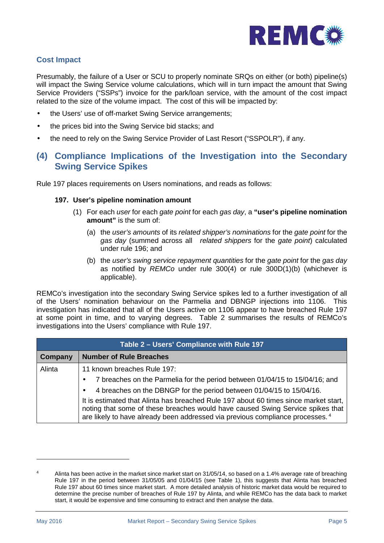

### **Cost Impact**

Presumably, the failure of a User or SCU to properly nominate SRQs on either (or both) pipeline(s) will impact the Swing Service volume calculations, which will in turn impact the amount that Swing Service Providers ("SSPs") invoice for the park/loan service, with the amount of the cost impact related to the size of the volume impact. The cost of this will be impacted by:

- the Users' use of off-market Swing Service arrangements;
- the prices bid into the Swing Service bid stacks; and
- the need to rely on the Swing Service Provider of Last Resort ("SSPOLR"), if any.

## **(4) Compliance Implications of the Investigation into the Secondary Swing Service Spikes**

Rule 197 places requirements on Users nominations, and reads as follows:

#### **197. User's pipeline nomination amount**

- (1) For each *user* for each *gate point* for each *gas day*, a **"user's pipeline nomination amount"** is the sum of:
	- (a) the *user's amounts* of its *related shipper's nominations* for the *gate point* for the *gas day* (summed across all *related shippers* for the *gate point*) calculated under rule 196; and
	- (b) the *user's swing service repayment quantities* for the *gate point* for the *gas day* as notified by *REMCo* under rule 300(4) or rule 300D(1)(b) (whichever is applicable).

REMCo's investigation into the secondary Swing Service spikes led to a further investigation of all of the Users' nomination behaviour on the Parmelia and DBNGP injections into 1106. This investigation has indicated that all of the Users active on 1106 appear to have breached Rule 197 at some point in time, and to varying degrees. Table 2 summarises the results of REMCo's investigations into the Users' compliance with Rule 197.

| Table 2 - Users' Compliance with Rule 197 |                                                                                                                                                                                                                                                                     |  |  |
|-------------------------------------------|---------------------------------------------------------------------------------------------------------------------------------------------------------------------------------------------------------------------------------------------------------------------|--|--|
| Company                                   | <b>Number of Rule Breaches</b>                                                                                                                                                                                                                                      |  |  |
| Alinta                                    | 11 known breaches Rule 197:                                                                                                                                                                                                                                         |  |  |
|                                           | 7 breaches on the Parmelia for the period between 01/04/15 to 15/04/16; and<br>$\bullet$                                                                                                                                                                            |  |  |
|                                           | 4 breaches on the DBNGP for the period between 01/04/15 to 15/04/16.                                                                                                                                                                                                |  |  |
|                                           | It is estimated that Alinta has breached Rule 197 about 60 times since market start,<br>noting that some of these breaches would have caused Swing Service spikes that<br>are likely to have already been addressed via previous compliance processes. <sup>4</sup> |  |  |

<sup>4</sup> Alinta has been active in the market since market start on 31/05/14, so based on a 1.4% average rate of breaching Rule 197 in the period between 31/05/05 and 01/04/15 (see Table 1), this suggests that Alinta has breached Rule 197 about 60 times since market start. A more detailed analysis of historic market data would be required to determine the precise number of breaches of Rule 197 by Alinta, and while REMCo has the data back to market start, it would be expensive and time consuming to extract and then analyse the data.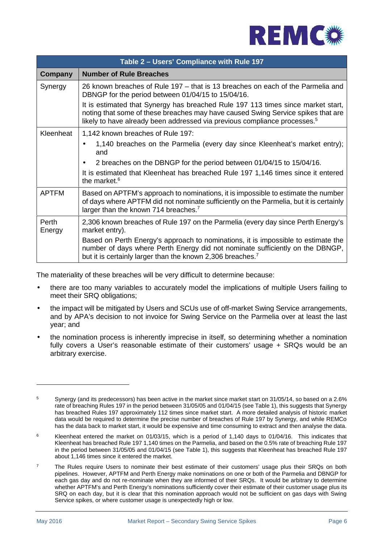

| Table 2 – Users' Compliance with Rule 197 |                                                                                                                                                                                                                                                               |  |  |
|-------------------------------------------|---------------------------------------------------------------------------------------------------------------------------------------------------------------------------------------------------------------------------------------------------------------|--|--|
| Company                                   | <b>Number of Rule Breaches</b>                                                                                                                                                                                                                                |  |  |
| Synergy                                   | 26 known breaches of Rule 197 – that is 13 breaches on each of the Parmelia and<br>DBNGP for the period between 01/04/15 to 15/04/16.                                                                                                                         |  |  |
|                                           | It is estimated that Synergy has breached Rule 197 113 times since market start,<br>noting that some of these breaches may have caused Swing Service spikes that are<br>likely to have already been addressed via previous compliance processes. <sup>5</sup> |  |  |
| Kleenheat                                 | 1,142 known breaches of Rule 197:                                                                                                                                                                                                                             |  |  |
|                                           | 1,140 breaches on the Parmelia (every day since Kleenheat's market entry);<br>$\bullet$<br>and                                                                                                                                                                |  |  |
|                                           | 2 breaches on the DBNGP for the period between 01/04/15 to 15/04/16.                                                                                                                                                                                          |  |  |
|                                           | It is estimated that Kleenheat has breached Rule 197 1,146 times since it entered<br>the market. <sup>6</sup>                                                                                                                                                 |  |  |
| <b>APTFM</b>                              | Based on APTFM's approach to nominations, it is impossible to estimate the number<br>of days where APTFM did not nominate sufficiently on the Parmelia, but it is certainly<br>larger than the known 714 breaches. <sup>7</sup>                               |  |  |
| Perth<br>Energy                           | 2,306 known breaches of Rule 197 on the Parmelia (every day since Perth Energy's<br>market entry).                                                                                                                                                            |  |  |
|                                           | Based on Perth Energy's approach to nominations, it is impossible to estimate the<br>number of days where Perth Energy did not nominate sufficiently on the DBNGP,<br>but it is certainly larger than the known 2,306 breaches. <sup>7</sup>                  |  |  |

The materiality of these breaches will be very difficult to determine because:

- there are too many variables to accurately model the implications of multiple Users failing to meet their SRQ obligations;
- the impact will be mitigated by Users and SCUs use of off-market Swing Service arrangements, and by APA's decision to not invoice for Swing Service on the Parmelia over at least the last year; and
- the nomination process is inherently imprecise in itself, so determining whether a nomination fully covers a User's reasonable estimate of their customers' usage + SRQs would be an arbitrary exercise.

<sup>5</sup> Synergy (and its predecessors) has been active in the market since market start on 31/05/14, so based on a 2.6% rate of breaching Rules 197 in the period between 31/05/05 and 01/04/15 (see Table 1), this suggests that Synergy has breached Rules 197 approximately 112 times since market start. A more detailed analysis of historic market data would be required to determine the precise number of breaches of Rule 197 by Synergy, and while REMCo has the data back to market start, it would be expensive and time consuming to extract and then analyse the data.

<sup>&</sup>lt;sup>6</sup> Kleenheat entered the market on 01/03/15, which is a period of 1,140 days to 01/04/16. This indicates that Kleenheat has breached Rule 197 1,140 times on the Parmelia, and based on the 0.5% rate of breaching Rule 197 in the period between 31/05/05 and 01/04/15 (see Table 1), this suggests that Kleenheat has breached Rule 197 about 1,146 times since it entered the market.

<sup>&</sup>lt;sup>7</sup> The Rules require Users to nominate their best estimate of their customers' usage plus their SRQs on both pipelines. However, APTFM and Perth Energy make nominations on one or both of the Parmelia and DBNGP for each gas day and do not re-nominate when they are informed of their SRQs. It would be arbitrary to determine whether APTFM's and Perth Energy's nominations sufficiently cover their estimate of their customer usage plus its SRQ on each day, but it is clear that this nomination approach would not be sufficient on gas days with Swing Service spikes, or where customer usage is unexpectedly high or low.